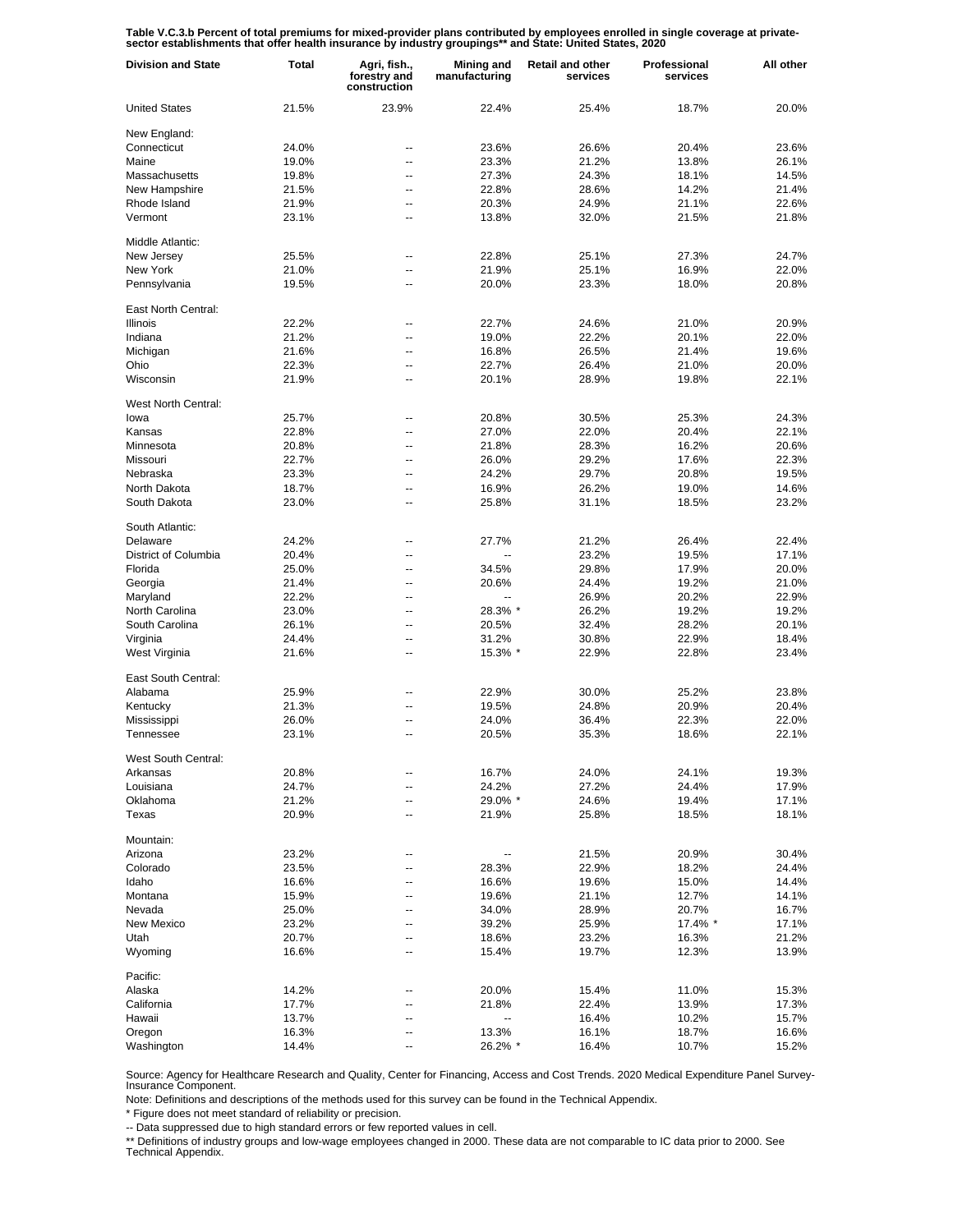Table V.C.3.b Percent of total premiums for mixed-provider plans contributed by employees enrolled in single coverage at private-<br>sector establishments that offer health insurance by industry groupings\*\* and State: United

| <b>Division and State</b>   | <b>Total</b> | Agri, fish.,<br>forestry and<br>construction | Mining and<br>manufacturing | <b>Retail and other</b><br>services | Professional<br>services | All other |
|-----------------------------|--------------|----------------------------------------------|-----------------------------|-------------------------------------|--------------------------|-----------|
| <b>United States</b>        | 21.5%        | 23.9%                                        | 22.4%                       | 25.4%                               | 18.7%                    | 20.0%     |
| New England:                |              |                                              |                             |                                     |                          |           |
| Connecticut                 | 24.0%        | $\overline{a}$                               | 23.6%                       | 26.6%                               | 20.4%                    | 23.6%     |
| Maine                       | 19.0%        | Ξ.                                           | 23.3%                       | 21.2%                               | 13.8%                    | 26.1%     |
| Massachusetts               | 19.8%        | $\overline{a}$                               | 27.3%                       | 24.3%                               | 18.1%                    | 14.5%     |
| New Hampshire               | 21.5%        | Ξ.                                           | 22.8%                       | 28.6%                               | 14.2%                    | 21.4%     |
| Rhode Island                | 21.9%        | --                                           | 20.3%                       | 24.9%                               | 21.1%                    | 22.6%     |
| Vermont                     | 23.1%        | --                                           | 13.8%                       | 32.0%                               | 21.5%                    | 21.8%     |
| Middle Atlantic:            |              |                                              |                             |                                     |                          |           |
| New Jersey                  | 25.5%        | --                                           | 22.8%                       | 25.1%                               | 27.3%                    | 24.7%     |
| New York                    | 21.0%        | --                                           | 21.9%                       | 25.1%                               | 16.9%                    | 22.0%     |
| Pennsylvania                | 19.5%        | --                                           | 20.0%                       | 23.3%                               | 18.0%                    | 20.8%     |
| East North Central:         |              |                                              |                             |                                     |                          |           |
| <b>Illinois</b>             | 22.2%        | --                                           | 22.7%                       | 24.6%                               | 21.0%                    | 20.9%     |
| Indiana                     | 21.2%        | --                                           | 19.0%                       | 22.2%                               | 20.1%                    | 22.0%     |
| Michigan                    | 21.6%        | --                                           | 16.8%                       | 26.5%                               | 21.4%                    | 19.6%     |
| Ohio                        | 22.3%        | --                                           | 22.7%                       | 26.4%                               | 21.0%                    | 20.0%     |
| Wisconsin                   | 21.9%        | $\overline{a}$                               | 20.1%                       | 28.9%                               | 19.8%                    | 22.1%     |
|                             |              |                                              |                             |                                     |                          |           |
| West North Central:<br>lowa |              | --                                           | 20.8%                       |                                     |                          |           |
|                             | 25.7%        | Ξ.                                           |                             | 30.5%                               | 25.3%                    | 24.3%     |
| Kansas                      | 22.8%        |                                              | 27.0%                       | 22.0%                               | 20.4%                    | 22.1%     |
| Minnesota                   | 20.8%        | $\overline{a}$                               | 21.8%                       | 28.3%                               | 16.2%                    | 20.6%     |
| Missouri                    | 22.7%        | Ξ.                                           | 26.0%                       | 29.2%                               | 17.6%                    | 22.3%     |
| Nebraska                    | 23.3%        | $\overline{a}$                               | 24.2%                       | 29.7%                               | 20.8%                    | 19.5%     |
| North Dakota                | 18.7%        | Ξ.                                           | 16.9%                       | 26.2%                               | 19.0%                    | 14.6%     |
| South Dakota                | 23.0%        | --                                           | 25.8%                       | 31.1%                               | 18.5%                    | 23.2%     |
| South Atlantic:             |              |                                              |                             |                                     |                          |           |
| Delaware                    | 24.2%        | --                                           | 27.7%                       | 21.2%                               | 26.4%                    | 22.4%     |
| District of Columbia        | 20.4%        | --                                           |                             | 23.2%                               | 19.5%                    | 17.1%     |
| Florida                     | 25.0%        | --                                           | 34.5%                       | 29.8%                               | 17.9%                    | 20.0%     |
| Georgia                     | 21.4%        | --                                           | 20.6%                       | 24.4%                               | 19.2%                    | 21.0%     |
| Maryland                    | 22.2%        | --                                           | --                          | 26.9%                               | 20.2%                    | 22.9%     |
| North Carolina              | 23.0%        | --                                           | 28.3% *                     | 26.2%                               | 19.2%                    | 19.2%     |
| South Carolina              | 26.1%        | --                                           | 20.5%                       | 32.4%                               | 28.2%                    | 20.1%     |
| Virginia                    | 24.4%        | --                                           | 31.2%                       | 30.8%                               | 22.9%                    | 18.4%     |
| West Virginia               | 21.6%        | --                                           | 15.3% *                     | 22.9%                               | 22.8%                    | 23.4%     |
| East South Central:         |              |                                              |                             |                                     |                          |           |
| Alabama                     | 25.9%        | --                                           | 22.9%                       | 30.0%                               | 25.2%                    | 23.8%     |
| Kentucky                    | 21.3%        | $\overline{a}$                               | 19.5%                       | 24.8%                               | 20.9%                    | 20.4%     |
| Mississippi                 | 26.0%        | --                                           | 24.0%                       | 36.4%                               | 22.3%                    | 22.0%     |
| Tennessee                   | 23.1%        | $\overline{a}$                               | 20.5%                       | 35.3%                               | 18.6%                    | 22.1%     |
| West South Central:         |              |                                              |                             |                                     |                          |           |
| Arkansas                    | 20.8%        | --                                           | 16.7%                       | 24.0%                               | 24.1%                    | 19.3%     |
| Louisiana                   | 24.7%        | Ξ.                                           | 24.2%                       | 27.2%                               | 24.4%                    | 17.9%     |
| Oklahoma                    | 21.2%        | $\overline{a}$                               | 29.0% *                     | 24.6%                               | 19.4%                    | 17.1%     |
| Texas                       | 20.9%        | --                                           | 21.9%                       | 25.8%                               | 18.5%                    | 18.1%     |
| Mountain:                   |              |                                              |                             |                                     |                          |           |
| Arizona                     | 23.2%        | --                                           |                             | 21.5%                               | 20.9%                    | 30.4%     |
| Colorado                    | 23.5%        | --                                           | 28.3%                       | 22.9%                               | 18.2%                    | 24.4%     |
| Idaho                       | 16.6%        | --                                           | 16.6%                       | 19.6%                               | 15.0%                    | 14.4%     |
| Montana                     | 15.9%        | --                                           | 19.6%                       | 21.1%                               | 12.7%                    | 14.1%     |
| Nevada                      | 25.0%        | --                                           | 34.0%                       | 28.9%                               | 20.7%                    | 16.7%     |
| New Mexico                  | 23.2%        | --                                           | 39.2%                       | 25.9%                               | 17.4% *                  | 17.1%     |
| Utah                        | 20.7%        | --                                           | 18.6%                       | 23.2%                               | 16.3%                    | 21.2%     |
| Wyoming                     | 16.6%        | --                                           | 15.4%                       | 19.7%                               | 12.3%                    | 13.9%     |
|                             |              |                                              |                             |                                     |                          |           |
| Pacific:                    |              |                                              |                             |                                     |                          |           |
| Alaska                      | 14.2%        | --                                           | 20.0%                       | 15.4%                               | 11.0%                    | 15.3%     |
| California                  | 17.7%        | --                                           | 21.8%                       | 22.4%                               | 13.9%                    | 17.3%     |
| Hawaii                      | 13.7%        | --                                           | −−                          | 16.4%                               | 10.2%                    | 15.7%     |
| Oregon                      | 16.3%        | --                                           | 13.3%                       | 16.1%                               | 18.7%                    | 16.6%     |
| Washington                  | 14.4%        | --                                           | 26.2% *                     | 16.4%                               | 10.7%                    | 15.2%     |

Source: Agency for Healthcare Research and Quality, Center for Financing, Access and Cost Trends. 2020 Medical Expenditure Panel Survey-Insurance Component.

Note: Definitions and descriptions of the methods used for this survey can be found in the Technical Appendix.

\* Figure does not meet standard of reliability or precision.

-- Data suppressed due to high standard errors or few reported values in cell.

\*\* Definitions of industry groups and low-wage employees changed in 2000. These data are not comparable to IC data prior to 2000. See Technical Appendix.